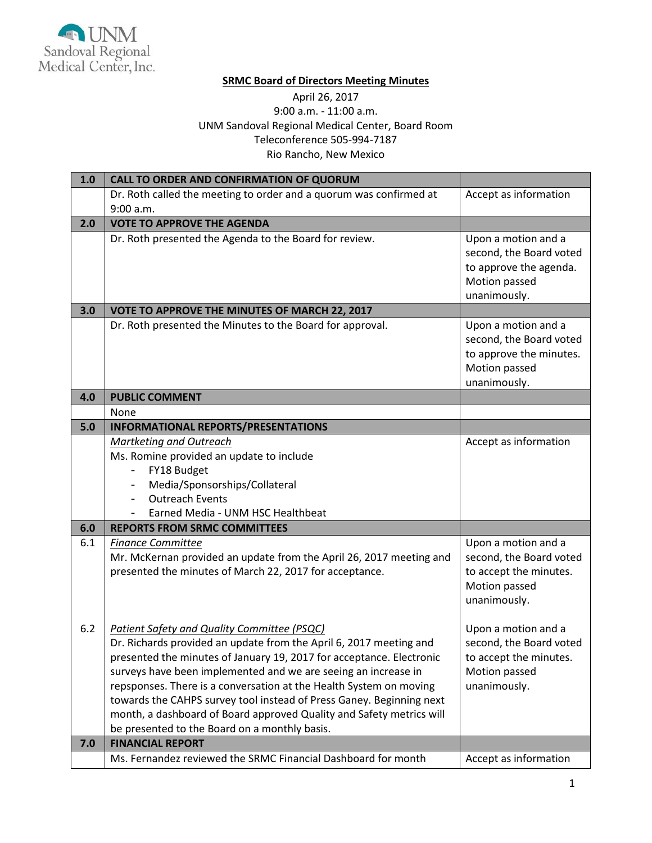

## **SRMC Board of Directors Meeting Minutes**

## April 26, 2017 9:00 a.m. - 11:00 a.m. UNM Sandoval Regional Medical Center, Board Room Teleconference 505-994-7187 Rio Rancho, New Mexico

| 1.0 | <b>CALL TO ORDER AND CONFIRMATION OF QUORUM</b>                                                                                                                                                                                                                                                                                                                                                                                                                                     |                                                                                                            |
|-----|-------------------------------------------------------------------------------------------------------------------------------------------------------------------------------------------------------------------------------------------------------------------------------------------------------------------------------------------------------------------------------------------------------------------------------------------------------------------------------------|------------------------------------------------------------------------------------------------------------|
|     | Dr. Roth called the meeting to order and a quorum was confirmed at                                                                                                                                                                                                                                                                                                                                                                                                                  | Accept as information                                                                                      |
|     | 9:00 a.m.                                                                                                                                                                                                                                                                                                                                                                                                                                                                           |                                                                                                            |
| 2.0 | <b>VOTE TO APPROVE THE AGENDA</b>                                                                                                                                                                                                                                                                                                                                                                                                                                                   |                                                                                                            |
|     | Dr. Roth presented the Agenda to the Board for review.                                                                                                                                                                                                                                                                                                                                                                                                                              | Upon a motion and a<br>second, the Board voted<br>to approve the agenda.<br>Motion passed<br>unanimously.  |
| 3.0 | VOTE TO APPROVE THE MINUTES OF MARCH 22, 2017                                                                                                                                                                                                                                                                                                                                                                                                                                       |                                                                                                            |
|     | Dr. Roth presented the Minutes to the Board for approval.                                                                                                                                                                                                                                                                                                                                                                                                                           | Upon a motion and a<br>second, the Board voted<br>to approve the minutes.<br>Motion passed<br>unanimously. |
| 4.0 | <b>PUBLIC COMMENT</b>                                                                                                                                                                                                                                                                                                                                                                                                                                                               |                                                                                                            |
|     | None                                                                                                                                                                                                                                                                                                                                                                                                                                                                                |                                                                                                            |
| 5.0 | <b>INFORMATIONAL REPORTS/PRESENTATIONS</b>                                                                                                                                                                                                                                                                                                                                                                                                                                          |                                                                                                            |
|     | Martketing and Outreach                                                                                                                                                                                                                                                                                                                                                                                                                                                             | Accept as information                                                                                      |
|     | Ms. Romine provided an update to include                                                                                                                                                                                                                                                                                                                                                                                                                                            |                                                                                                            |
|     | FY18 Budget<br>$\overline{\phantom{0}}$                                                                                                                                                                                                                                                                                                                                                                                                                                             |                                                                                                            |
|     | Media/Sponsorships/Collateral                                                                                                                                                                                                                                                                                                                                                                                                                                                       |                                                                                                            |
|     | <b>Outreach Events</b>                                                                                                                                                                                                                                                                                                                                                                                                                                                              |                                                                                                            |
|     | Earned Media - UNM HSC Healthbeat                                                                                                                                                                                                                                                                                                                                                                                                                                                   |                                                                                                            |
| 6.0 | <b>REPORTS FROM SRMC COMMITTEES</b>                                                                                                                                                                                                                                                                                                                                                                                                                                                 |                                                                                                            |
| 6.1 | <b>Finance Committee</b>                                                                                                                                                                                                                                                                                                                                                                                                                                                            | Upon a motion and a                                                                                        |
|     | Mr. McKernan provided an update from the April 26, 2017 meeting and<br>presented the minutes of March 22, 2017 for acceptance.                                                                                                                                                                                                                                                                                                                                                      | second, the Board voted<br>to accept the minutes.<br>Motion passed<br>unanimously.                         |
| 6.2 | <b>Patient Safety and Quality Committee (PSQC)</b>                                                                                                                                                                                                                                                                                                                                                                                                                                  | Upon a motion and a                                                                                        |
|     | Dr. Richards provided an update from the April 6, 2017 meeting and<br>presented the minutes of January 19, 2017 for acceptance. Electronic<br>surveys have been implemented and we are seeing an increase in<br>repsponses. There is a conversation at the Health System on moving<br>towards the CAHPS survey tool instead of Press Ganey. Beginning next<br>month, a dashboard of Board approved Quality and Safety metrics will<br>be presented to the Board on a monthly basis. | second, the Board voted<br>to accept the minutes.<br>Motion passed<br>unanimously.                         |
| 7.0 | <b>FINANCIAL REPORT</b>                                                                                                                                                                                                                                                                                                                                                                                                                                                             |                                                                                                            |
|     | Ms. Fernandez reviewed the SRMC Financial Dashboard for month                                                                                                                                                                                                                                                                                                                                                                                                                       | Accept as information                                                                                      |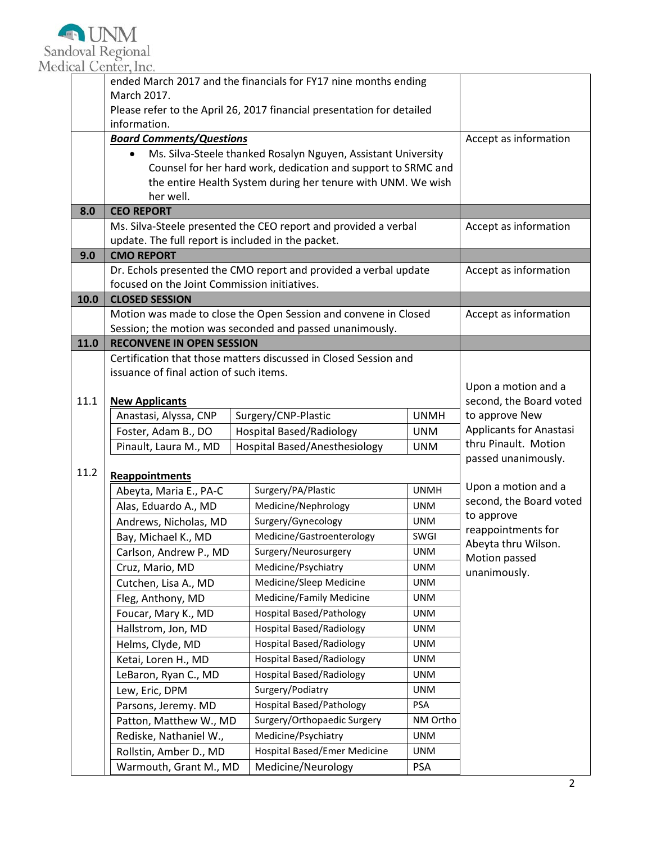

|      | March 2017.                                                                                                           |                       | ended March 2017 and the financials for FY17 nine months ending<br>Please refer to the April 26, 2017 financial presentation for detailed |                           |                                                             |  |
|------|-----------------------------------------------------------------------------------------------------------------------|-----------------------|-------------------------------------------------------------------------------------------------------------------------------------------|---------------------------|-------------------------------------------------------------|--|
|      | information.                                                                                                          |                       |                                                                                                                                           |                           |                                                             |  |
|      | <b>Board Comments/Questions</b>                                                                                       | Accept as information |                                                                                                                                           |                           |                                                             |  |
|      | $\bullet$                                                                                                             |                       | Ms. Silva-Steele thanked Rosalyn Nguyen, Assistant University                                                                             |                           |                                                             |  |
|      |                                                                                                                       |                       | Counsel for her hard work, dedication and support to SRMC and                                                                             |                           |                                                             |  |
|      |                                                                                                                       |                       | the entire Health System during her tenure with UNM. We wish                                                                              |                           |                                                             |  |
|      | her well.                                                                                                             |                       |                                                                                                                                           |                           |                                                             |  |
| 8.0  | <b>CEO REPORT</b>                                                                                                     |                       |                                                                                                                                           |                           |                                                             |  |
|      | Ms. Silva-Steele presented the CEO report and provided a verbal<br>update. The full report is included in the packet. |                       |                                                                                                                                           | Accept as information     |                                                             |  |
| 9.0  | <b>CMO REPORT</b>                                                                                                     |                       |                                                                                                                                           |                           |                                                             |  |
|      |                                                                                                                       |                       |                                                                                                                                           |                           | Accept as information                                       |  |
|      | Dr. Echols presented the CMO report and provided a verbal update<br>focused on the Joint Commission initiatives.      |                       |                                                                                                                                           |                           |                                                             |  |
| 10.0 | <b>CLOSED SESSION</b>                                                                                                 |                       |                                                                                                                                           |                           |                                                             |  |
|      | Motion was made to close the Open Session and convene in Closed                                                       |                       |                                                                                                                                           |                           | Accept as information                                       |  |
|      | Session; the motion was seconded and passed unanimously.                                                              |                       |                                                                                                                                           |                           |                                                             |  |
| 11.0 | <b>RECONVENE IN OPEN SESSION</b>                                                                                      |                       |                                                                                                                                           |                           |                                                             |  |
|      |                                                                                                                       |                       | Certification that those matters discussed in Closed Session and                                                                          |                           |                                                             |  |
|      | issuance of final action of such items.                                                                               |                       |                                                                                                                                           |                           |                                                             |  |
|      |                                                                                                                       |                       |                                                                                                                                           |                           | Upon a motion and a                                         |  |
| 11.1 | <b>New Applicants</b>                                                                                                 |                       |                                                                                                                                           |                           | second, the Board voted                                     |  |
|      | Anastasi, Alyssa, CNP                                                                                                 |                       | Surgery/CNP-Plastic                                                                                                                       | <b>UNMH</b><br><b>UNM</b> | to approve New<br>Applicants for Anastasi                   |  |
|      | Foster, Adam B., DO<br>Pinault, Laura M., MD                                                                          |                       | <b>Hospital Based/Radiology</b><br>Hospital Based/Anesthesiology                                                                          | <b>UNM</b>                | thru Pinault. Motion                                        |  |
|      |                                                                                                                       |                       |                                                                                                                                           |                           | passed unanimously.                                         |  |
| 11.2 | Reappointments                                                                                                        |                       |                                                                                                                                           |                           |                                                             |  |
|      | Abeyta, Maria E., PA-C                                                                                                |                       | Surgery/PA/Plastic                                                                                                                        | <b>UNMH</b>               | Upon a motion and a                                         |  |
|      | Alas, Eduardo A., MD                                                                                                  |                       | Medicine/Nephrology                                                                                                                       | <b>UNM</b>                | second, the Board voted<br>to approve<br>reappointments for |  |
|      | Andrews, Nicholas, MD                                                                                                 |                       | Surgery/Gynecology                                                                                                                        | <b>UNM</b>                |                                                             |  |
|      | Bay, Michael K., MD                                                                                                   |                       | Medicine/Gastroenterology                                                                                                                 | SWGI                      |                                                             |  |
|      | Carlson, Andrew P., MD                                                                                                |                       | Surgery/Neurosurgery                                                                                                                      | <b>UNM</b>                | Abeyta thru Wilson.<br>Motion passed<br>unanimously.        |  |
|      | Cruz, Mario, MD                                                                                                       |                       | Medicine/Psychiatry                                                                                                                       | <b>UNM</b>                |                                                             |  |
|      | Cutchen, Lisa A., MD                                                                                                  |                       | Medicine/Sleep Medicine                                                                                                                   | <b>UNM</b>                |                                                             |  |
|      | Fleg, Anthony, MD                                                                                                     |                       | Medicine/Family Medicine                                                                                                                  | UNM                       |                                                             |  |
|      | Foucar, Mary K., MD                                                                                                   |                       | <b>Hospital Based/Pathology</b>                                                                                                           | UNM                       |                                                             |  |
|      | Hallstrom, Jon, MD                                                                                                    |                       | <b>Hospital Based/Radiology</b>                                                                                                           | UNM                       |                                                             |  |
|      | Helms, Clyde, MD                                                                                                      |                       | <b>Hospital Based/Radiology</b>                                                                                                           | <b>UNM</b>                |                                                             |  |
|      | Ketai, Loren H., MD                                                                                                   |                       | <b>Hospital Based/Radiology</b>                                                                                                           | UNM                       |                                                             |  |
|      | LeBaron, Ryan C., MD                                                                                                  |                       | <b>Hospital Based/Radiology</b><br>UNM                                                                                                    |                           |                                                             |  |
|      | Lew, Eric, DPM                                                                                                        |                       | Surgery/Podiatry<br>UNM                                                                                                                   |                           |                                                             |  |
|      | Parsons, Jeremy. MD                                                                                                   |                       | <b>Hospital Based/Pathology</b><br>PSA                                                                                                    |                           |                                                             |  |
|      | Patton, Matthew W., MD                                                                                                |                       | Surgery/Orthopaedic Surgery<br>NM Ortho                                                                                                   |                           |                                                             |  |
|      | Rediske, Nathaniel W.,                                                                                                |                       | Medicine/Psychiatry<br><b>UNM</b>                                                                                                         |                           |                                                             |  |
|      | Rollstin, Amber D., MD                                                                                                |                       | Hospital Based/Emer Medicine<br><b>UNM</b>                                                                                                |                           |                                                             |  |
|      | Medicine/Neurology<br>Warmouth, Grant M., MD<br><b>PSA</b>                                                            |                       |                                                                                                                                           |                           |                                                             |  |